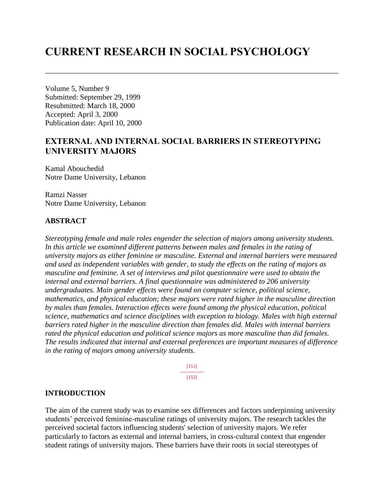# **CURRENT RESEARCH IN SOCIAL PSYCHOLOGY**

Volume 5, Number 9 Submitted: September 29, 1999 Resubmitted: March 18, 2000 Accepted: April 3, 2000 Publication date: April 10, 2000

# **EXTERNAL AND INTERNAL SOCIAL BARRIERS IN STEREOTYPING UNIVERSITY MAJORS**

Kamal Abouchedid Notre Dame University, Lebanon

Ramzi Nasser Notre Dame University, Lebanon

### **ABSTRACT**

*Stereotyping female and male roles engender the selection of majors among university students. In this article we examined different patterns between males and females in the rating of university majors as either feminine or masculine. External and internal barriers were measured and used as independent variables with gender, to study the effects on the rating of majors as masculine and feminine. A set of interviews and pilot questionnaire were used to obtain the internal and external barriers. A final questionnaire was administered to 206 university undergraduates. Main gender effects were found on computer science, political science, mathematics, and physical education; these majors were rated higher in the masculine direction by males than females. Interaction effects were found among the physical education, political science, mathematics and science disciplines with exception to biology. Males with high external barriers rated higher in the masculine direction than females did. Males with internal barriers rated the physical education and political science majors as more masculine than did females. The results indicated that internal and external preferences are important measures of difference in the rating of majors among university students.*

> [151] --------------- [152]

### **INTRODUCTION**

The aim of the current study was to examine sex differences and factors underpinning university students' perceived feminine-masculine ratings of university majors. The research tackles the perceived societal factors influencing students' selection of university majors. We refer particularly to factors as external and internal barriers, in cross-cultural context that engender student ratings of university majors. These barriers have their roots in social stereotypes of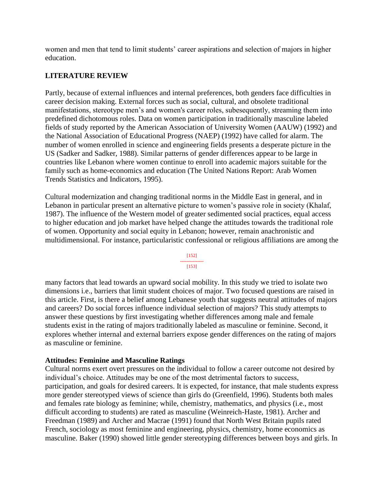women and men that tend to limit students' career aspirations and selection of majors in higher education.

### **LITERATURE REVIEW**

Partly, because of external influences and internal preferences, both genders face difficulties in career decision making. External forces such as social, cultural, and obsolete traditional manifestations, stereotype men's and women's career roles, subesequently, streaming them into predefined dichotomous roles. Data on women participation in traditionally masculine labeled fields of study reported by the American Association of University Women (AAUW) (1992) and the National Association of Educational Progress (NAEP) (1992) have called for alarm. The number of women enrolled in science and engineering fields presents a desperate picture in the US (Sadker and Sadker, 1988). Similar patterns of gender differences appear to be large in countries like Lebanon where women continue to enroll into academic majors suitable for the family such as home-economics and education (The United Nations Report: Arab Women Trends Statistics and Indicators, 1995).

Cultural modernization and changing traditional norms in the Middle East in general, and in Lebanon in particular present an alternative picture to women's passive role in society (Khalaf, 1987). The influence of the Western model of greater sedimented social practices, equal access to higher education and job market have helped change the attitudes towards the traditional role of women. Opportunity and social equity in Lebanon; however, remain anachronistic and multidimensional. For instance, particularistic confessional or religious affiliations are among the

> [152] --------------- [153]

many factors that lead towards an upward social mobility. In this study we tried to isolate two dimensions i.e., barriers that limit student choices of major. Two focused questions are raised in this article. First, is there a belief among Lebanese youth that suggests neutral attitudes of majors and careers? Do social forces influence individual selection of majors? This study attempts to answer these questions by first investigating whether differences among male and female students exist in the rating of majors traditionally labeled as masculine or feminine. Second, it explores whether internal and external barriers expose gender differences on the rating of majors as masculine or feminine.

### **Attitudes: Feminine and Masculine Ratings**

Cultural norms exert overt pressures on the individual to follow a career outcome not desired by individual's choice. Attitudes may be one of the most detrimental factors to success, participation, and goals for desired careers. It is expected, for instance, that male students express more gender stereotyped views of science than girls do (Greenfield, 1996). Students both males and females rate biology as feminine; while, chemistry, mathematics, and physics (i.e., most difficult according to students) are rated as masculine (Weinreich-Haste, 1981). Archer and Freedman (1989) and Archer and Macrae (1991) found that North West Britain pupils rated French, sociology as most feminine and engineering, physics, chemistry, home economics as masculine. Baker (1990) showed little gender stereotyping differences between boys and girls. In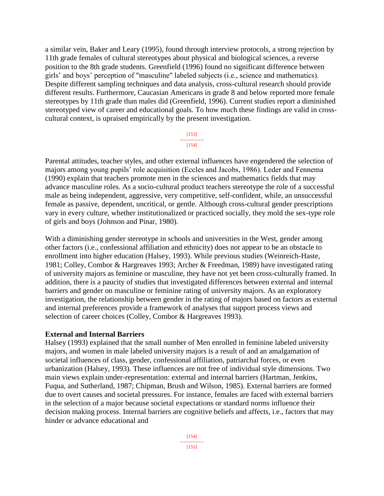a similar vein, Baker and Leary (1995), found through interview protocols, a strong rejection by 11th grade females of cultural stereotypes about physical and biological sciences, a reverse position to the 8th grade students. Greenfield (1996) found no significant difference between girls' and boys' perception of "masculine" labeled subjects (i.e., science and mathematics). Despite different sampling techniques and data analysis, cross-cultural research should provide different results. Furthermore, Caucasian Americans in grade 8 and below reported more female stereotypes by 11th grade than males did (Greenfield, 1996). Current studies report a diminished stereotyped view of career and educational goals. To how much these findings are valid in crosscultural context, is upraised empirically by the present investigation.

> [153] --------------- [154]

Parental attitudes, teacher styles, and other external influences have engendered the selection of majors among young pupils' role acquisition (Eccles and Jacobs, 1986). Leder and Fennema (1990) explain that teachers promote men in the sciences and mathematics fields that may advance masculine roles. As a socio-cultural product teachers stereotype the role of a successful male as being independent, aggressive, very competitive, self-confident, while, an unsuccessful female as passive, dependent, uncritical, or gentle. Although cross-cultural gender prescriptions vary in every culture, whether institutionalized or practiced socially, they mold the sex-type role of girls and boys (Johnson and Pinar, 1980).

With a diminishing gender stereotype in schools and universities in the West, gender among other factors (i.e., confessional affiliation and ethnicity) does not appear to be an obstacle to enrollment into higher education (Halsey, 1993). While previous studies (Weinreich-Haste, 1981; Colley, Combor & Hargreaves 1993; Archer & Freedman, 1989) have investigated rating of university majors as feminine or masculine, they have not yet been cross-culturally framed. In addition, there is a paucity of studies that investigated differences between external and internal barriers and gender on masculine or feminine rating of university majors. As an exploratory investigation, the relationship between gender in the rating of majors based on factors as external and internal preferences provide a framework of analyses that support process views and selection of career choices (Colley, Combor & Hargreaves 1993).

#### **External and Internal Barriers**

Halsey (1993) explained that the small number of Men enrolled in feminine labeled university majors, and women in male labeled university majors is a result of and an amalgamation of societal influences of class, gender, confessional affiliation, patriarchal forces, or even urbanization (Halsey, 1993). These influences are not free of individual style dimensions. Two main views explain under-representation: external and internal barriers (Hartman, Jenkins, Fuqua, and Sutherland, 1987; Chipman, Brush and Wilson, 1985). External barriers are formed due to overt causes and societal pressures. For instance, females are faced with external barriers in the selection of a major because societal expectations or standard norms influence their decision making process. Internal barriers are cognitive beliefs and affects, i.e., factors that may hinder or advance educational and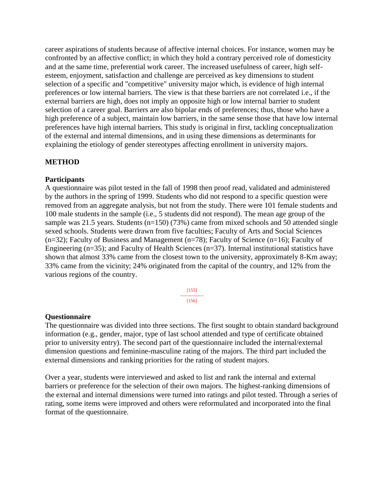career aspirations of students because of affective internal choices. For instance, women may be confronted by an affective conflict; in which they hold a contrary perceived role of domesticity and at the same time, preferential work career. The increased usefulness of career, high selfesteem, enjoyment, satisfaction and challenge are perceived as key dimensions to student selection of a specific and "competitive" university major which, is evidence of high internal preferences or low internal barriers. The view is that these barriers are not correlated i.e., if the external barriers are high, does not imply an opposite high or low internal barrier to student selection of a career goal. Barriers are also bipolar ends of preferences; thus, those who have a high preference of a subject, maintain low barriers, in the same sense those that have low internal preferences have high internal barriers. This study is original in first, tackling conceptualization of the external and internal dimensions, and in using these dimensions as determinants for explaining the etiology of gender stereotypes affecting enrollment in university majors.

### **METHOD**

#### **Participants**

A questionnaire was pilot tested in the fall of 1998 then proof read, validated and administered by the authors in the spring of 1999. Students who did not respond to a specific question were removed from an aggregate analysis, but not from the study. There were 101 female students and 100 male students in the sample (i.e., 5 students did not respond). The mean age group of the sample was 21.5 years. Students (n=150) (73%) came from mixed schools and 50 attended single sexed schools. Students were drawn from five faculties; Faculty of Arts and Social Sciences (n=32); Faculty of Business and Management (n=78); Faculty of Science (n=16); Faculty of Engineering (n=35); and Faculty of Health Sciences (n=37). Internal institutional statistics have shown that almost 33% came from the closest town to the university, approximately 8-Km away; 33% came from the vicinity; 24% originated from the capital of the country, and 12% from the various regions of the country.

> [155] ---------------  $[156]$

#### **Questionnaire**

The questionnaire was divided into three sections. The first sought to obtain standard background information (e.g., gender, major, type of last school attended and type of certificate obtained prior to university entry). The second part of the questionnaire included the internal/external dimension questions and feminine-masculine rating of the majors. The third part included the external dimensions and ranking priorities for the rating of student majors.

Over a year, students were interviewed and asked to list and rank the internal and external barriers or preference for the selection of their own majors. The highest-ranking dimensions of the external and internal dimensions were turned into ratings and pilot tested. Through a series of rating, some items were improved and others were reformulated and incorporated into the final format of the questionnaire.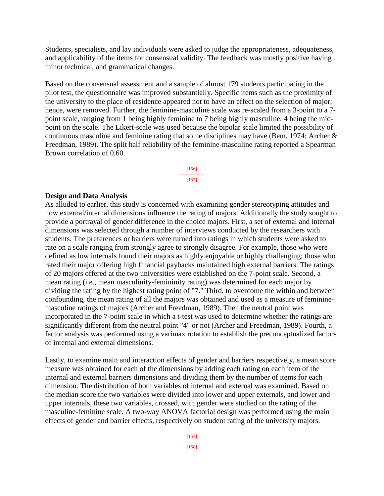Students, specialists, and lay individuals were asked to judge the appropriateness, adequateness, and applicability of the items for consensual validity. The feedback was mostly positive having minor technical, and grammatical changes.

Based on the consensual assessment and a sample of almost 179 students participating in the pilot test, the questionnaire was improved substantially. Specific items such as the proximity of the university to the place of residence appeared not to have an effect on the selection of major; hence, were removed. Further, the feminine-masculine scale was re-scaled from a 3-point to a 7 point scale, ranging from 1 being highly feminine to 7 being highly masculine, 4 being the midpoint on the scale. The Likert-scale was used because the bipolar scale limited the possibility of continuous masculine and feminine rating that some disciplines may have (Bem, 1974; Archer & Freedman, 1989). The split half reliability of the feminine-masculine rating reported a Spearman Brown correlation of 0.60.

> [156] --------------- [157]

### **Design and Data Analysis**

As alluded to earlier, this study is concerned with examining gender stereotyping attitudes and how external/internal dimensions influence the rating of majors. Additionally the study sought to provide a portrayal of gender difference in the choice majors. First, a set of external and internal dimensions was selected through a number of interviews conducted by the researchers with students. The preferences or barriers were turned into ratings in which students were asked to rate on a scale ranging from strongly agree to strongly disagree. For example, those who were defined as low internals found their majors as highly enjoyable or highly challenging; those who rated their major offering high financial paybacks maintained high external barriers. The ratings of 20 majors offered at the two universities were established on the 7-point scale. Second, a mean rating (i.e., mean masculinity-femininity rating) was determined for each major by dividing the rating by the highest rating point of "7." Third, to overcome the within and between confounding, the mean rating of all the majors was obtained and used as a measure of femininemasculine ratings of majors (Archer and Freedman, 1989). Then the neutral point was incorporated in the 7-point scale in which a t-test was used to determine whether the ratings are significantly different from the neutral point "4" or not (Archer and Freedman, 1989). Fourth, a factor analysis was performed using a varimax rotation to establish the preconceptualized factors of internal and external dimensions.

Lastly, to examine main and interaction effects of gender and barriers respectively, a mean score measure was obtained for each of the dimensions by adding each rating on each item of the internal and external barriers dimensions and dividing them by the number of items for each dimension. The distribution of both variables of internal and external was examined. Based on the median score the two variables were divided into lower and upper externals, and lower and upper internals, these two variables, crossed, with gender were studied on the rating of the masculine-feminine scale. A two-way ANOVA factorial design was performed using the main effects of gender and barrier effects, respectively on student rating of the university majors.

> [157] --------------- [158]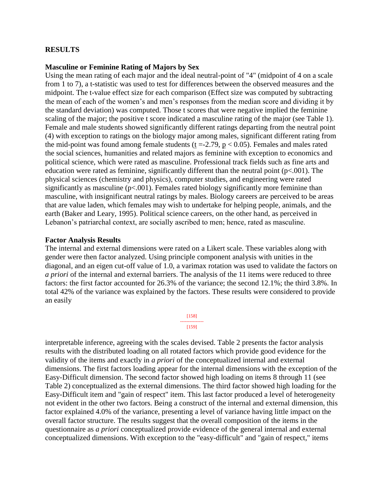### **RESULTS**

#### **Masculine or Feminine Rating of Majors by Sex**

Using the mean rating of each major and the ideal neutral-point of "4" (midpoint of 4 on a scale from 1 to 7), a t-statistic was used to test for differences between the observed measures and the midpoint. The t-value effect size for each comparison (Effect size was computed by subtracting the mean of each of the women's and men's responses from the median score and dividing it by the standard deviation) was computed. Those t scores that were negative implied the feminine scaling of the major; the positive t score indicated a masculine rating of the major (see Table 1). Female and male students showed significantly different ratings departing from the neutral point (4) with exception to ratings on the biology major among males, significant different rating from the mid-point was found among female students ( $t = -2.79$ ,  $p < 0.05$ ). Females and males rated the social sciences, humanities and related majors as feminine with exception to economics and political science, which were rated as masculine. Professional track fields such as fine arts and education were rated as feminine, significantly different than the neutral point  $(p<.001)$ . The physical sciences (chemistry and physics), computer studies, and engineering were rated significantly as masculine  $(p<.001)$ . Females rated biology significantly more feminine than masculine, with insignificant neutral ratings by males. Biology careers are perceived to be areas that are value laden, which females may wish to undertake for helping people, animals, and the earth (Baker and Leary, 1995). Political science careers, on the other hand, as perceived in Lebanon's patriarchal context, are socially ascribed to men; hence, rated as masculine.

#### **Factor Analysis Results**

The internal and external dimensions were rated on a Likert scale. These variables along with gender were then factor analyzed. Using principle component analysis with unities in the diagonal, and an eigen cut-off value of 1.0, a varimax rotation was used to validate the factors on *a priori* of the internal and external barriers. The analysis of the 11 items were reduced to three factors: the first factor accounted for 26.3% of the variance; the second 12.1%; the third 3.8%. In total 42% of the variance was explained by the factors. These results were considered to provide an easily



interpretable inference, agreeing with the scales devised. Table 2 presents the factor analysis results with the distributed loading on all rotated factors which provide good evidence for the validity of the items and exactly in *a priori* of the conceptualized internal and external dimensions. The first factors loading appear for the internal dimensions with the exception of the Easy-Difficult dimension. The second factor showed high loading on items 8 through 11 (see Table 2) conceptualized as the external dimensions. The third factor showed high loading for the Easy-Difficult item and "gain of respect" item. This last factor produced a level of heterogeneity not evident in the other two factors. Being a construct of the internal and external dimension, this factor explained 4.0% of the variance, presenting a level of variance having little impact on the overall factor structure. The results suggest that the overall composition of the items in the questionnaire as *a priori* conceptualized provide evidence of the general internal and external conceptualized dimensions. With exception to the "easy-difficult" and "gain of respect," items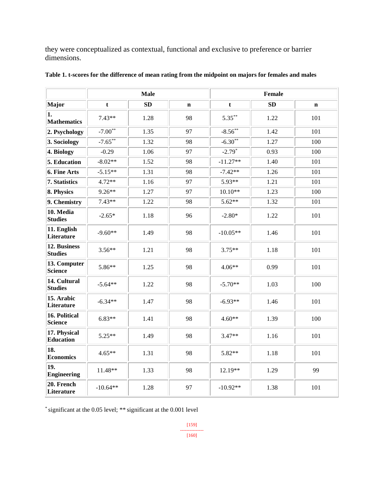they were conceptualized as contextual, functional and exclusive to preference or barrier dimensions.

|                                  | <b>Male</b> |      |             | <b>Female</b> |           |             |
|----------------------------------|-------------|------|-------------|---------------|-----------|-------------|
| Major                            | t           | SD   | $\mathbf n$ | t             | <b>SD</b> | $\mathbf n$ |
| 1.<br><b>Mathematics</b>         | $7.43**$    | 1.28 | 98          | $5.35***$     | 1.22      | 101         |
| 2. Psychology                    | $-7.00**$   | 1.35 | 97          | $-8.56***$    | 1.42      | 101         |
| 3. Sociology                     | $-7.65***$  | 1.32 | 98          | $-6.30**$     | 1.27      | 100         |
| 4. Biology                       | $-0.29$     | 1.06 | 97          | $-2.79*$      | 0.93      | 100         |
| 5. Education                     | $-8.02**$   | 1.52 | 98          | $-11.27**$    | 1.40      | 101         |
| 6. Fine Arts                     | $-5.15**$   | 1.31 | 98          | $-7.42**$     | 1.26      | 101         |
| 7. Statistics                    | $4.72**$    | 1.16 | 97          | 5.93**        | 1.21      | 101         |
| 8. Physics                       | $9.26**$    | 1.27 | 97          | $10.10**$     | 1.23      | 100         |
| 9. Chemistry                     | $7.43**$    | 1.22 | 98          | $5.62**$      | 1.32      | 101         |
| 10. Media<br><b>Studies</b>      | $-2.65*$    | 1.18 | 96          | $-2.80*$      | 1.22      | 101         |
| 11. English<br>Literature        | $-9.60**$   | 1.49 | 98          | $-10.05**$    | 1.46      | 101         |
| 12. Business<br><b>Studies</b>   | $3.56**$    | 1.21 | 98          | $3.75**$      | 1.18      | 101         |
| 13. Computer<br>Science          | 5.86**      | 1.25 | 98          | $4.06**$      | 0.99      | 101         |
| 14. Cultural<br><b>Studies</b>   | $-5.64**$   | 1.22 | 98          | $-5.70**$     | 1.03      | 100         |
| 15. Arabic<br>Literature         | $-6.34**$   | 1.47 | 98          | $-6.93**$     | 1.46      | 101         |
| 16. Political<br><b>Science</b>  | $6.83**$    | 1.41 | 98          | $4.60**$      | 1.39      | 100         |
| 17. Physical<br><b>Education</b> | $5.25**$    | 1.49 | 98          | $3.47**$      | 1.16      | 101         |
| 18.<br><b>Economics</b>          | $4.65**$    | 1.31 | 98          | 5.82**        | 1.18      | 101         |
| 19.<br><b>Engineering</b>        | $11.48**$   | 1.33 | 98          | $12.19**$     | 1.29      | 99          |
| 20. French<br>Literature         | $-10.64**$  | 1.28 | 97          | $-10.92**$    | 1.38      | 101         |

|  | Table 1. t-scores for the difference of mean rating from the midpoint on majors for females and males |  |  |  |  |
|--|-------------------------------------------------------------------------------------------------------|--|--|--|--|
|  |                                                                                                       |  |  |  |  |

\* significant at the 0.05 level; \*\* significant at the 0.001 level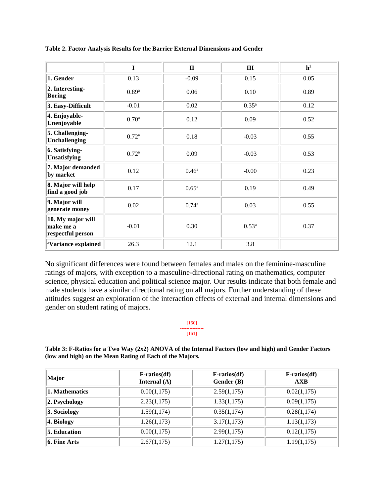|                                                     | I                 | $\mathbf{I}$   | III        | h <sup>2</sup> |
|-----------------------------------------------------|-------------------|----------------|------------|----------------|
| 1. Gender                                           | 0.13              | $-0.09$        | 0.15       | 0.05           |
| 2. Interesting-<br><b>Boring</b>                    | 0.89 <sup>a</sup> | 0.06           | 0.10       | 0.89           |
| 3. Easy-Difficult                                   | $-0.01$           | 0.02           | $0.35^{a}$ | 0.12           |
| 4. Enjoyable-<br>Unenjoyable                        | 0.70 <sup>a</sup> | 0.12           | 0.09       | 0.52           |
| 5. Challenging-<br><b>Unchallenging</b>             | 0.72 <sup>a</sup> | 0.18           | $-0.03$    | 0.55           |
| 6. Satisfying-<br>Unsatisfying                      | $0.72^{\rm a}$    | 0.09           | $-0.03$    | 0.53           |
| 7. Major demanded<br>by market                      | 0.12              | $0.46^{\rm a}$ | $-0.00$    | 0.23           |
| 8. Major will help<br>find a good job               | 0.17              | $0.65^{\rm a}$ | 0.19       | 0.49           |
| 9. Major will<br>generate money                     | 0.02              | $0.74^{a}$     | 0.03       | 0.55           |
| 10. My major will<br>make me a<br>respectful person | $-0.01$           | 0.30           | $0.53^{a}$ | 0.37           |
| <sup>a</sup> Variance explained                     | 26.3              | 12.1           | 3.8        |                |

**Table 2. Factor Analysis Results for the Barrier External Dimensions and Gender**

No significant differences were found between females and males on the feminine-masculine ratings of majors, with exception to a masculine-directional rating on mathematics, computer science, physical education and political science major. Our results indicate that both female and male students have a similar directional rating on all majors. Further understanding of these attitudes suggest an exploration of the interaction effects of external and internal dimensions and gender on student rating of majors.

#### [160] ---------------

#### [161]

**Table 3: F-Ratios for a Two Way (2x2) ANOVA of the Internal Factors (low and high) and Gender Factors (low and high) on the Mean Rating of Each of the Majors.**

| Major               | $F\text{-ratios}(df)$<br>Internal $(A)$ | $F\text{-ratios}(df)$<br>Gender (B) | <b>F-ratios(df)</b><br>AXB |
|---------------------|-----------------------------------------|-------------------------------------|----------------------------|
| 1. Mathematics      | 0.00(1,175)                             | 2.59(1,175)                         | 0.02(1,175)                |
| 2. Psychology       | 2.23(1,175)                             | 1.33(1,175)                         | 0.09(1,175)                |
| 3. Sociology        | 1.59(1,174)                             | 0.35(1,174)                         | 0.28(1,174)                |
| 4. Biology          | 1.26(1,173)                             | 3.17(1,173)                         | 1.13(1,173)                |
| <b>5. Education</b> | 0.00(1,175)                             | 2.99(1,175)                         | 0.12(1,175)                |
| 6. Fine Arts        | 2.67(1,175)                             | 1.27(1,175)                         | 1.19(1,175)                |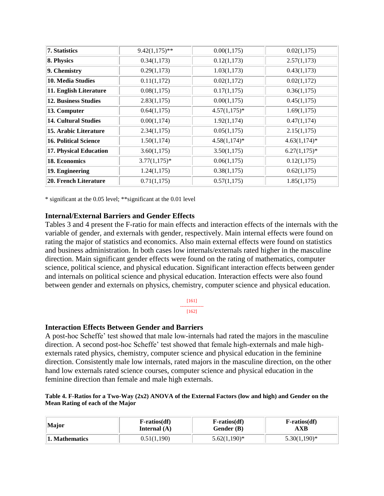| <b>7. Statistics</b>         | $9.42(1,175)$ ** | 0.00(1,175)    | 0.02(1,175)     |
|------------------------------|------------------|----------------|-----------------|
| 8. Physics                   | 0.34(1,173)      | 0.12(1,173)    | 2.57(1,173)     |
| 9. Chemistry                 | 0.29(1,173)      | 1.03(1,173)    | 0.43(1,173)     |
| 10. Media Studies            | 0.11(1,172)      | 0.02(1,172)    | 0.02(1,172)     |
| 11. English Literature       | 0.08(1,175)      | 0.17(1,175)    | 0.36(1,175)     |
| <b>12. Business Studies</b>  | 2.83(1,175)      | 0.00(1,175)    | 0.45(1,175)     |
| 13. Computer                 | 0.64(1,175)      | $4.57(1,175)*$ | 1.69(1,175)     |
| <b>14. Cultural Studies</b>  | 0.00(1,174)      | 1.92(1,174)    | 0.47(1,174)     |
| 15. Arabic Literature        | 2.34(1,175)      | 0.05(1,175)    | 2.15(1,175)     |
| <b>16. Political Science</b> | 1.50(1,174)      | $4.58(1,174)*$ | $4.63(1,174)*$  |
| 17. Physical Education       | 3.60(1,175)      | 3.50(1,175)    | $6.27(1,175)^*$ |
| 18. Economics                | $3.77(1,175)^*$  | 0.06(1,175)    | 0.12(1,175)     |
| 19. Engineering              | 1.24(1,175)      | 0.38(1,175)    | 0.62(1,175)     |
| 20. French Literature        | 0.71(1,175)      | 0.57(1,175)    | 1.85(1,175)     |

\* significant at the 0.05 level; \*\*significant at the 0.01 level

### **Internal/External Barriers and Gender Effects**

Tables 3 and 4 present the F-ratio for main effects and interaction effects of the internals with the variable of gender, and externals with gender, respectively. Main internal effects were found on rating the major of statistics and economics. Also main external effects were found on statistics and business administration. In both cases low internals/externals rated higher in the masculine direction. Main significant gender effects were found on the rating of mathematics, computer science, political science, and physical education. Significant interaction effects between gender and internals on political science and physical education. Interaction effects were also found between gender and externals on physics, chemistry, computer science and physical education.

#### [161] --------------- [162]

#### **Interaction Effects Between Gender and Barriers**

A post-hoc Scheffe' test showed that male low-internals had rated the majors in the masculine direction. A second post-hoc Scheffe' test showed that female high-externals and male highexternals rated physics, chemistry, computer science and physical education in the feminine direction. Consistently male low internals, rated majors in the masculine direction, on the other hand low externals rated science courses, computer science and physical education in the feminine direction than female and male high externals.

**Table 4. F-Ratios for a Two-Way (2x2) ANOVA of the External Factors (low and high) and Gender on the Mean Rating of each of the Major**

| <b>Major</b>   | <b>F-ratios(df)</b> | <b>F-ratios(df)</b> | $F\text{-ratios}(df)$ |
|----------------|---------------------|---------------------|-----------------------|
|                | Internal $(A)$      | Gender (B)          | AXB                   |
| 1. Mathematics | 0.51(1,190)         | $5.62(1,190)^*$     | $5.30(1,190)$ *       |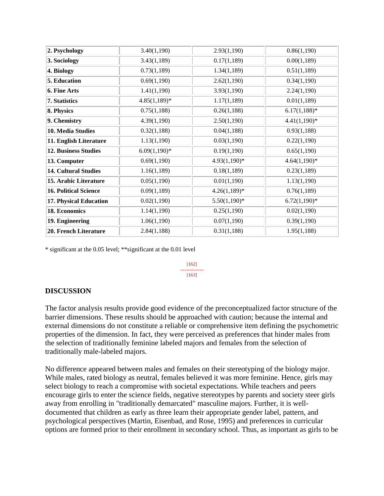| 2. Psychology                | 3.40(1,190)     | 2.93(1,190)     | 0.86(1,190)     |
|------------------------------|-----------------|-----------------|-----------------|
| 3. Sociology                 | 3.43(1,189)     | 0.17(1,189)     | 0.00(1,189)     |
| 4. Biology                   | 0.73(1,189)     | 1.34(1,189)     | 0.51(1,189)     |
| 5. Education                 | 0.69(1,190)     | 2.62(1,190)     | 0.34(1,190)     |
| 6. Fine Arts                 | 1.41(1,190)     | 3.93(1,190)     | 2.24(1,190)     |
| 7. Statistics                | $4.85(1,189)^*$ | 1.17(1,189)     | 0.01(1,189)     |
| 8. Physics                   | 0.75(1,188)     | 0.26(1,188)     | $6.17(1,188)$ * |
| 9. Chemistry                 | 4.39(1,190)     | 2.50(1,190)     | $4.41(1,190)^*$ |
| 10. Media Studies            | 0.32(1,188)     | 0.04(1,188)     | 0.93(1,188)     |
| 11. English Literature       | 1.13(1,190)     | 0.03(1,190)     | 0.22(1,190)     |
| 12. Business Studies         | $6.09(1,190)$ * | 0.19(1,190)     | 0.65(1,190)     |
| 13. Computer                 | 0.69(1,190)     | $4.93(1,190)*$  | $4.64(1,190)*$  |
| <b>14. Cultural Studies</b>  | 1.16(1,189)     | 0.18(1,189)     | 0.23(1,189)     |
| 15. Arabic Literature        | 0.05(1,190)     | 0.01(1,190)     | 1.13(1,190)     |
| <b>16. Political Science</b> | 0.09(1,189)     | $4.26(1,189)*$  | 0.76(1,189)     |
| 17. Physical Education       | 0.02(1,190)     | $5.50(1,190)$ * | $6.72(1,190)*$  |
| 18. Economics                | 1.14(1,190)     | 0.25(1,190)     | 0.02(1,190)     |
| 19. Engineering              | 1.06(1,190)     | 0.07(1,190)     | 0.39(1,190)     |
| 20. French Literature        | 2.84(1,188)     | 0.31(1,188)     | 1.95(1,188)     |

\* significant at the 0.05 level; \*\*significant at the 0.01 level

[162] --------------- [163]

# **DISCUSSION**

The factor analysis results provide good evidence of the preconceptualized factor structure of the barrier dimensions. These results should be approached with caution; because the internal and external dimensions do not constitute a reliable or comprehensive item defining the psychometric properties of the dimension. In fact, they were perceived as preferences that hinder males from the selection of traditionally feminine labeled majors and females from the selection of traditionally male-labeled majors.

No difference appeared between males and females on their stereotyping of the biology major. While males, rated biology as neutral, females believed it was more feminine. Hence, girls may select biology to reach a compromise with societal expectations. While teachers and peers encourage girls to enter the science fields, negative stereotypes by parents and society steer girls away from enrolling in "traditionally demarcated" masculine majors. Further, it is welldocumented that children as early as three learn their appropriate gender label, pattern, and psychological perspectives (Martin, Eisenbad, and Rose, 1995) and preferences in curricular options are formed prior to their enrollment in secondary school. Thus, as important as girls to be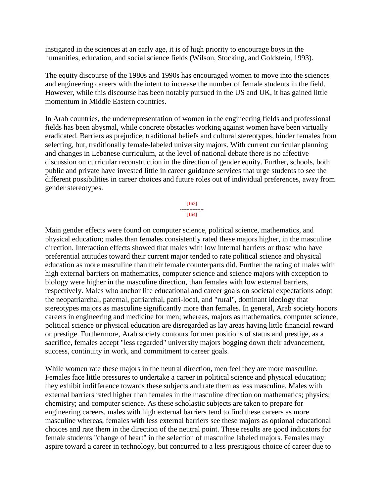instigated in the sciences at an early age, it is of high priority to encourage boys in the humanities, education, and social science fields (Wilson, Stocking, and Goldstein, 1993).

The equity discourse of the 1980s and 1990s has encouraged women to move into the sciences and engineering careers with the intent to increase the number of female students in the field. However, while this discourse has been notably pursued in the US and UK, it has gained little momentum in Middle Eastern countries.

In Arab countries, the underrepresentation of women in the engineering fields and professional fields has been abysmal, while concrete obstacles working against women have been virtually eradicated. Barriers as prejudice, traditional beliefs and cultural stereotypes, hinder females from selecting, but, traditionally female-labeled university majors. With current curricular planning and changes in Lebanese curriculum, at the level of national debate there is no affective discussion on curricular reconstruction in the direction of gender equity. Further, schools, both public and private have invested little in career guidance services that urge students to see the different possibilities in career choices and future roles out of individual preferences, away from gender stereotypes.

> [163] --------------- [164]

Main gender effects were found on computer science, political science, mathematics, and physical education; males than females consistently rated these majors higher, in the masculine direction. Interaction effects showed that males with low internal barriers or those who have preferential attitudes toward their current major tended to rate political science and physical education as more masculine than their female counterparts did. Further the rating of males with high external barriers on mathematics, computer science and science majors with exception to biology were higher in the masculine direction, than females with low external barriers, respectively. Males who anchor life educational and career goals on societal expectations adopt the neopatriarchal, paternal, patriarchal, patri-local, and "rural", dominant ideology that stereotypes majors as masculine significantly more than females. In general, Arab society honors careers in engineering and medicine for men; whereas, majors as mathematics, computer science, political science or physical education are disregarded as lay areas having little financial reward or prestige. Furthermore, Arab society contours for men positions of status and prestige, as a sacrifice, females accept "less regarded" university majors bogging down their advancement, success, continuity in work, and commitment to career goals.

While women rate these majors in the neutral direction, men feel they are more masculine. Females face little pressures to undertake a career in political science and physical education; they exhibit indifference towards these subjects and rate them as less masculine. Males with external barriers rated higher than females in the masculine direction on mathematics; physics; chemistry; and computer science. As these scholastic subjects are taken to prepare for engineering careers, males with high external barriers tend to find these careers as more masculine whereas, females with less external barriers see these majors as optional educational choices and rate them in the direction of the neutral point. These results are good indicators for female students "change of heart" in the selection of masculine labeled majors. Females may aspire toward a career in technology, but concurred to a less prestigious choice of career due to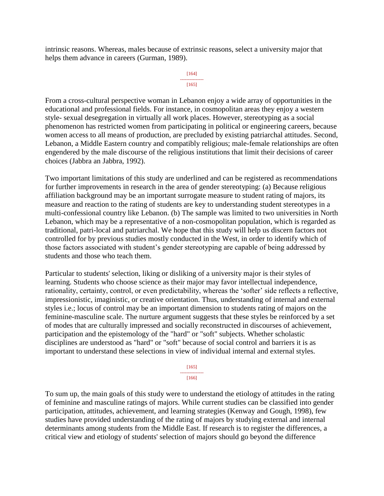intrinsic reasons. Whereas, males because of extrinsic reasons, select a university major that helps them advance in careers (Gurman, 1989).

#### [164] --------------- [165]

From a cross-cultural perspective woman in Lebanon enjoy a wide array of opportunities in the educational and professional fields. For instance, in cosmopolitan areas they enjoy a western style- sexual desegregation in virtually all work places. However, stereotyping as a social phenomenon has restricted women from participating in political or engineering careers, because women access to all means of production, are precluded by existing patriarchal attitudes. Second, Lebanon, a Middle Eastern country and compatibly religious; male-female relationships are often engendered by the male discourse of the religious institutions that limit their decisions of career choices (Jabbra an Jabbra, 1992).

Two important limitations of this study are underlined and can be registered as recommendations for further improvements in research in the area of gender stereotyping: (a) Because religious affiliation background may be an important surrogate measure to student rating of majors, its measure and reaction to the rating of students are key to understanding student stereotypes in a multi-confessional country like Lebanon. (b) The sample was limited to two universities in North Lebanon, which may be a representative of a non-cosmopolitan population, which is regarded as traditional, patri-local and patriarchal. We hope that this study will help us discern factors not controlled for by previous studies mostly conducted in the West, in order to identify which of those factors associated with student's gender stereotyping are capable of being addressed by students and those who teach them.

Particular to students' selection, liking or disliking of a university major is their styles of learning. Students who choose science as their major may favor intellectual independence, rationality, certainty, control, or even predictability, whereas the 'softer' side reflects a reflective, impressionistic, imaginistic, or creative orientation. Thus, understanding of internal and external styles i.e.; locus of control may be an important dimension to students rating of majors on the feminine-masculine scale. The nurture argument suggests that these styles be reinforced by a set of modes that are culturally impressed and socially reconstructed in discourses of achievement, participation and the epistemology of the "hard" or "soft" subjects. Whether scholastic disciplines are understood as "hard" or "soft" because of social control and barriers it is as important to understand these selections in view of individual internal and external styles.

[165]

--------------- [166]

To sum up, the main goals of this study were to understand the etiology of attitudes in the rating of feminine and masculine ratings of majors. While current studies can be classified into gender participation, attitudes, achievement, and learning strategies (Kenway and Gough, 1998), few studies have provided understanding of the rating of majors by studying external and internal determinants among students from the Middle East. If research is to register the differences, a critical view and etiology of students' selection of majors should go beyond the difference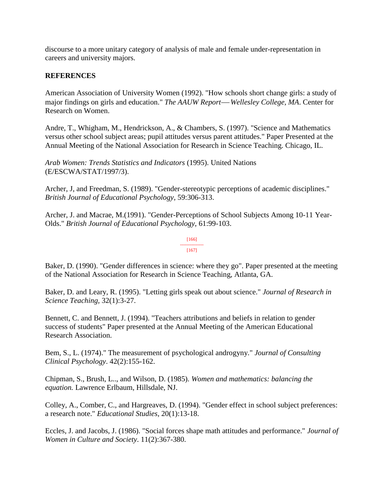discourse to a more unitary category of analysis of male and female under-representation in careers and university majors.

## **REFERENCES**

American Association of University Women (1992). "How schools short change girls: a study of major findings on girls and education." *The AAUW Report—Wellesley College, MA*. Center for Research on Women.

Andre, T., Whigham, M., Hendrickson, A., & Chambers, S. (1997). "Science and Mathematics versus other school subject areas; pupil attitudes versus parent attitudes." Paper Presented at the Annual Meeting of the National Association for Research in Science Teaching. Chicago, IL.

*Arab Women: Trends Statistics and Indicators* (1995). United Nations (E/ESCWA/STAT/1997/3).

Archer, J, and Freedman, S. (1989). "Gender-stereotypic perceptions of academic disciplines." *British Journal of Educational Psychology,* 59:306-313.

Archer, J. and Macrae, M.(1991). "Gender-Perceptions of School Subjects Among 10-11 Year-Olds." *British Journal of Educational Psychology,* 61:99-103.

#### [166] ---------------

#### [167]

Baker, D. (1990). "Gender differences in science: where they go". Paper presented at the meeting of the National Association for Research in Science Teaching, Atlanta, GA.

Baker, D. and Leary, R. (1995). "Letting girls speak out about science." *Journal of Research in Science Teaching,* 32(1):3-27.

Bennett, C. and Bennett, J. (1994). "Teachers attributions and beliefs in relation to gender success of students" Paper presented at the Annual Meeting of the American Educational Research Association.

Bem, S., L. (1974)." The measurement of psychological androgyny." *Journal of Consulting Clinical Psychology*. 42(2):155-162.

Chipman, S., Brush, L.., and Wilson, D. (1985). *Women and mathematics: balancing the equation.* Lawrence Erlbaum, Hillsdale, NJ.

Colley, A., Comber, C., and Hargreaves, D. (1994). "Gender effect in school subject preferences: a research note." *Educational Studies*, 20(1):13-18.

Eccles, J. and Jacobs, J. (1986). "Social forces shape math attitudes and performance." *Journal of Women in Culture and Society*. 11(2):367-380.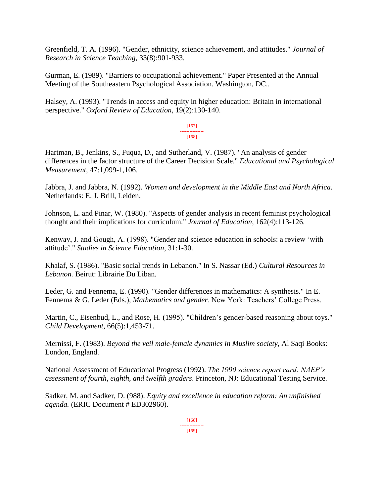Greenfield, T. A. (1996). "Gender, ethnicity, science achievement, and attitudes." *Journal of Research in Science Teaching*, 33(8):901-933.

Gurman, E. (1989). "Barriers to occupational achievement." Paper Presented at the Annual Meeting of the Southeastern Psychological Association. Washington, DC..

Halsey, A. (1993). "Trends in access and equity in higher education: Britain in international perspective." *Oxford Review of Education*, 19(2):130-140.

> [167] --------------- [168]

Hartman, B., Jenkins, S., Fuqua, D., and Sutherland, V. (1987). "An analysis of gender differences in the factor structure of the Career Decision Scale." *Educational and Psychological Measurement,* 47:1,099-1,106.

Jabbra, J. and Jabbra, N. (1992). *Women and development in the Middle East and North Africa.* Netherlands: E. J. Brill, Leiden.

Johnson, L. and Pinar, W. (1980). "Aspects of gender analysis in recent feminist psychological thought and their implications for curriculum." *Journal of Education*, 162(4):113-126.

Kenway, J. and Gough, A. (1998). "Gender and science education in schools: a review 'with attitude'." *Studies in Science Education*, 31:1-30.

Khalaf, S. (1986). "Basic social trends in Lebanon." In S. Nassar (Ed.) *Cultural Resources in Lebanon.* Beirut: Librairie Du Liban.

Leder, G. and Fennema, E. (1990). "Gender differences in mathematics: A synthesis." In E. Fennema & G. Leder (Eds.), *Mathematics and gender*. New York: Teachers' College Press.

Martin, C., Eisenbud, L., and Rose, H. (1995). "Children's gender-based reasoning about toys." *Child Development*, 66(5):1,453-71.

Mernissi, F. (1983). *Beyond the veil male-female dynamics in Muslim society*, Al Saqi Books: London, England.

National Assessment of Educational Progress (1992). *The 1990 science report card: NAEP's assessment of fourth, eighth, and twelfth graders*. Princeton, NJ: Educational Testing Service.

Sadker, M. and Sadker, D. (988). *Equity and excellence in education reform: An unfinished agenda.* (ERIC Document # ED302960).

> [168] --------------- [169]